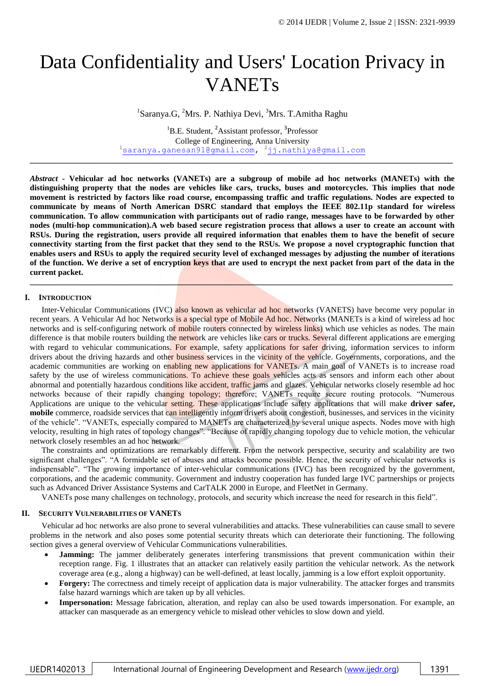# Data Confidentiality and Users' Location Privacy in VANETs

<sup>1</sup>Saranya.G, <sup>2</sup>Mrs. P. Nathiya Devi, <sup>3</sup>Mrs. T.Amitha Raghu

<sup>1</sup>B.E. Student, <sup>2</sup>Assistant professor, <sup>3</sup>Professor College of Engineering, Anna University <sup>1</sup>[saranya.ganesan91@gmail.com,](mailto:saranya.ganesan91@gmail.com) <sup>2</sup>[jj.nathiya@gmail.com](mailto:jj.nathiya@gmail.com)

**\_\_\_\_\_\_\_\_\_\_\_\_\_\_\_\_\_\_\_\_\_\_\_\_\_\_\_\_\_\_\_\_\_\_\_\_\_\_\_\_\_\_\_\_\_\_\_\_\_\_\_\_\_\_\_\_\_\_\_\_\_\_\_\_\_\_\_\_\_\_\_\_\_\_\_\_\_\_\_\_\_\_\_\_\_\_\_\_\_\_\_\_\_\_\_\_\_\_\_\_\_\_\_\_**

*Abstract* **- Vehicular ad hoc networks (VANETs) are a subgroup of mobile ad hoc networks (MANETs) with the distinguishing property that the nodes are vehicles like cars, trucks, buses and motorcycles. This implies that node movement is restricted by factors like road course, encompassing traffic and traffic regulations. Nodes are expected to communicate by means of North American DSRC standard that employs the IEEE 802.11p standard for wireless communication. To allow communication with participants out of radio range, messages have to be forwarded by other nodes (multi-hop communication).A web based secure registration process that allows a user to create an account with RSUs. During the registration, users provide all required information that enables them to have the benefit of secure connectivity starting from the first packet that they send to the RSUs. We propose a novel cryptographic function that enables users and RSUs to apply the required security level of exchanged messages by adjusting the number of iterations of the function. We derive a set of encryption keys that are used to encrypt the next packet from part of the data in the current packet.**

**\_\_\_\_\_\_\_\_\_\_\_\_\_\_\_\_\_\_\_\_\_\_\_\_\_\_\_\_\_\_\_\_\_\_\_\_\_\_\_\_\_\_\_\_\_\_\_\_\_\_\_\_\_\_\_\_\_\_\_\_\_\_\_\_\_\_\_\_\_\_\_\_\_\_\_\_\_\_\_\_\_\_\_\_\_\_\_\_\_\_\_\_\_\_\_\_\_\_\_\_\_\_\_\_**

#### **I. INTRODUCTION**

Inter-Vehicular Communications (IVC) also known as vehicular ad hoc networks (VANETS) have become very popular in recent years. A Vehicular Ad hoc Networks is a special type of Mobile Ad hoc. Networks (MANETs is a kind of wireless ad hoc networks and is self-configuring network of mobile routers connected by wireless links) which use vehicles as nodes. The main difference is that mobile routers building the network are vehicles like cars or trucks. Several different applications are emerging with regard to vehicular communications. For example, safety applications for safer driving, information services to inform drivers about the driving hazards and other business services in the vicinity of the vehicle. Governments, corporations, and the academic communities are working on enabling new applications for VANETs. A main goal of VANETs is to increase road safety by the use of wireless communications. To achieve these goals vehicles acts as sensors and inform each other about abnormal and potentially hazardous conditions like accident, traffic jams and glazes. Vehicular networks closely resemble ad hoc networks because of their rapidly changing topology; therefore; VANETs require secure routing protocols. "Numerous Applications are unique to the vehicular setting. These applications include safety applications that will make **driver safer, mobile** commerce, roadside services that can intelligently inform drivers about congestion, businesses, and services in the vicinity of the vehicle". "VANETs, especially compared to MANETs are characterized by several unique aspects. Nodes move with high velocity, resulting in high rates of topology changes". "Because of rapidly changing topology due to vehicle motion, the vehicular network closely resembles an ad hoc network.

The constraints and optimizations are remarkably different. From the network perspective, security and scalability are two significant challenges". "A formidable set of abuses and attacks become possible. Hence, the security of vehicular networks is indispensable". "The growing importance of inter-vehicular communications (IVC) has been recognized by the government, corporations, and the academic community. Government and industry cooperation has funded large IVC partnerships or projects such as Advanced Driver Assistance Systems and CarTALK 2000 in Europe, and FleetNet in Germany.

VANETs pose many challenges on technology, protocols, and security which increase the need for research in this field".

#### **II. SECURITY VULNERABILITIES OF VANETS**

Vehicular ad hoc networks are also prone to several vulnerabilities and attacks. These vulnerabilities can cause small to severe problems in the network and also poses some potential security threats which can deteriorate their functioning. The following section gives a general overview of Vehicular Communications vulnerabilities.

- **Jamming:** The jammer deliberately generates interfering transmissions that prevent communication within their reception range. Fig. 1 illustrates that an attacker can relatively easily partition the vehicular network. As the network coverage area (e.g., along a highway) can be well-defined, at least locally, jamming is a low effort exploit opportunity.
- **Forgery:** The correctness and timely receipt of application data is major vulnerability. The attacker forges and transmits false hazard warnings which are taken up by all vehicles.
- **Impersonation:** Message fabrication, alteration, and replay can also be used towards impersonation. For example, an attacker can masquerade as an emergency vehicle to mislead other vehicles to slow down and yield.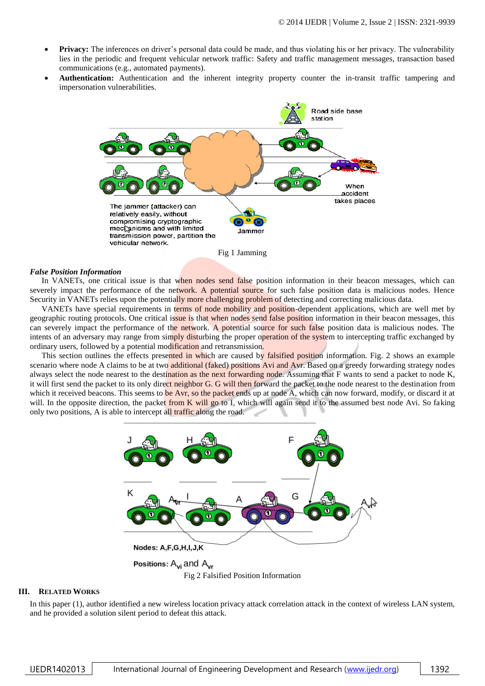- **Privacy:** The inferences on driver's personal data could be made, and thus violating his or her privacy. The vulnerability lies in the periodic and frequent vehicular network traffic: Safety and traffic management messages, transaction based communications (e.g., automated payments).
- **Authentication:** Authentication and the inherent integrity property counter the in-transit traffic tampering and impersonation vulnerabilities.



Fig 1 Jamming

#### *False Position Information*

In VANETs, one critical issue is that when nodes send false position information in their beacon messages, which can severely impact the performance of the network. A potential source for such false position data is malicious nodes. Hence Security in VANETs relies upon the potentially more challenging problem of detecting and correcting malicious data.

VANETs have special requirements in terms of node mobility and position-dependent applications, which are well met by geographic routing protocols. One critical issue is that when nodes send false position information in their beacon messages, this can severely impact the performance of the network. A potential source for such false position data is malicious nodes. The intents of an adversary may range from simply disturbing the proper operation of the system to intercepting traffic exchanged by ordinary users, followed by a potential modification and retransmission.

This section outlines the effects presented in which are caused by falsified position information. Fig. 2 shows an example scenario where node A claims to be at two additional (faked) positions Avi and Avr. Based on a greedy forwarding strategy nodes always select the node nearest to the destination as the next forwarding node. Assuming that F wants to send a packet to node K, it will first send the packet to its only direct neighbor G. G will then forward the packet to the node nearest to the destination from which it received beacons. This seems to be Avr, so the packet ends up at node A, which can now forward, modify, or discard it at will. In the opposite direction, the packet from K will go to I, which will again send it to the assumed best node Avi. So faking only two positions, A is able to intercept all traffic along the road.



Fig 2 Falsified Position Information

#### **III. RELATED WORKS**

In this paper (1), author identified a new wireless location privacy attack correlation attack in the context of wireless LAN system, and he provided a solution silent period to defeat this attack.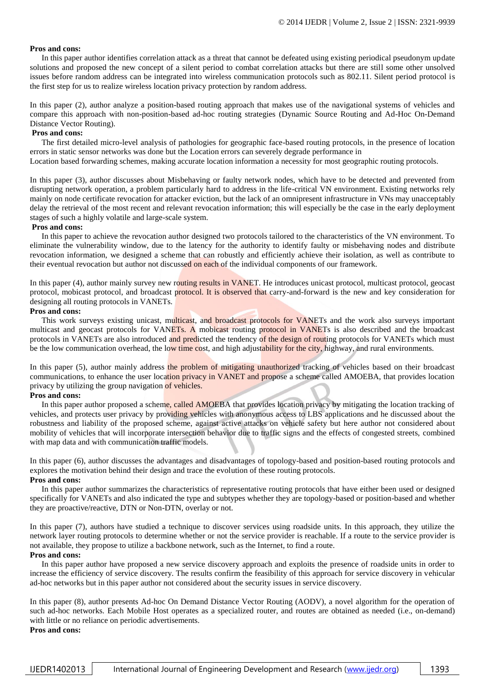# **Pros and cons:**

In this paper author identifies correlation attack as a threat that cannot be defeated using existing periodical pseudonym update solutions and proposed the new concept of a silent period to combat correlation attacks but there are still some other unsolved issues before random address can be integrated into wireless communication protocols such as 802.11. Silent period protocol is the first step for us to realize wireless location privacy protection by random address.

In this paper (2), author analyze a position-based routing approach that makes use of the navigational systems of vehicles and compare this approach with non-position-based ad-hoc routing strategies (Dynamic Source Routing and Ad-Hoc On-Demand Distance Vector Routing).

### **Pros and cons:**

The first detailed micro-level analysis of pathologies for geographic face-based routing protocols, in the presence of location errors in static sensor networks was done but the Location errors can severely degrade performance in

Location based forwarding schemes, making accurate location information a necessity for most geographic routing protocols.

In this paper (3), author discusses about Misbehaving or faulty network nodes, which have to be detected and prevented from disrupting network operation, a problem particularly hard to address in the life-critical VN environment. Existing networks rely mainly on node certificate revocation for attacker eviction, but the lack of an omnipresent infrastructure in VNs may unacceptably delay the retrieval of the most recent and relevant revocation information; this will especially be the case in the early deployment stages of such a highly volatile and large-scale system.

# **Pros and cons:**

In this paper to achieve the revocation author designed two protocols tailored to the characteristics of the VN environment. To eliminate the vulnerability window, due to the latency for the authority to identify faulty or misbehaving nodes and distribute revocation information, we designed a scheme that can robustly and efficiently achieve their isolation, as well as contribute to their eventual revocation but author not discussed on each of the individual components of our framework.

In this paper (4), author mainly survey new routing results in VANET. He introduces unicast protocol, multicast protocol, geocast protocol, mobicast protocol, and broadcast protocol. It is observed that carry-and-forward is the new and key consideration for designing all routing protocols in VANETs.

# **Pros and cons:**

This work surveys existing unicast, multicast, and broadcast protocols for VANETs and the work also surveys important multicast and geocast protocols for VANETs. A mobicast routing protocol in VANETs is also described and the broadcast protocols in VANETs are also introduced and predicted the tendency of the design of routing protocols for VANETs which must be the low communication overhead, the low time cost, and high adjustability for the city, highway, and rural environments.

In this paper (5), author mainly address the problem of mitigating unauthorized tracking of vehicles based on their broadcast communications, to enhance the user location privacy in VANET and propose a scheme called AMOEBA, that provides location privacy by utilizing the group navigation of vehicles.

# **Pros and cons:**

In this paper author proposed a scheme, called AMOEBA that provides location privacy by mitigating the location tracking of vehicles, and protects user privacy by providing vehicles with anonymous access to LBS applications and he discussed about the robustness and liability of the proposed scheme, against active attacks on vehicle safety but here author not considered about mobility of vehicles that will incorporate intersection behavior due to traffic signs and the effects of congested streets, combined with map data and with communication traffic models.

In this paper (6), author discusses the advantages and disadvantages of topology-based and position-based routing protocols and explores the motivation behind their design and trace the evolution of these routing protocols.

#### **Pros and cons:**

In this paper author summarizes the characteristics of representative routing protocols that have either been used or designed specifically for VANETs and also indicated the type and subtypes whether they are topology-based or position-based and whether they are proactive/reactive, DTN or Non-DTN, overlay or not.

In this paper (7), authors have studied a technique to discover services using roadside units. In this approach, they utilize the network layer routing protocols to determine whether or not the service provider is reachable. If a route to the service provider is not available, they propose to utilize a backbone network, such as the Internet, to find a route.

#### **Pros and cons:**

In this paper author have proposed a new service discovery approach and exploits the presence of roadside units in order to increase the efficiency of service discovery. The results confirm the feasibility of this approach for service discovery in vehicular ad-hoc networks but in this paper author not considered about the security issues in service discovery.

In this paper (8), author presents Ad-hoc On Demand Distance Vector Routing (AODV), a novel algorithm for the operation of such ad-hoc networks. Each Mobile Host operates as a specialized router, and routes are obtained as needed (i.e., on-demand) with little or no reliance on periodic advertisements. **Pros and cons:**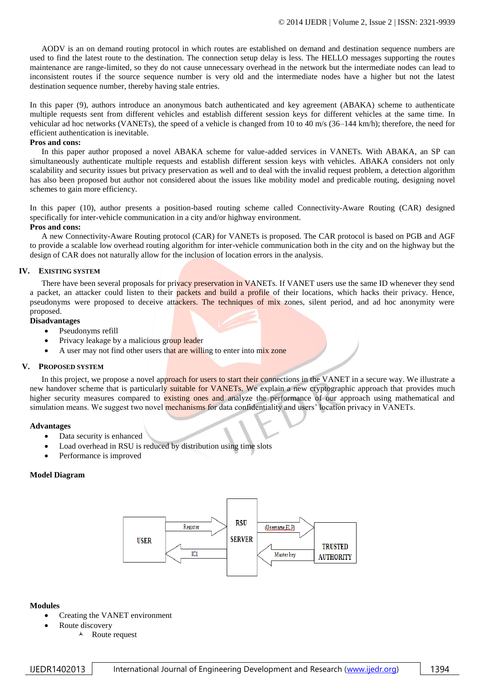AODV is an on demand routing protocol in which routes are established on demand and destination sequence numbers are used to find the latest route to the destination. The connection setup delay is less. The HELLO messages supporting the routes maintenance are range-limited, so they do not cause unnecessary overhead in the network but the intermediate nodes can lead to inconsistent routes if the source sequence number is very old and the intermediate nodes have a higher but not the latest destination sequence number, thereby having stale entries.

In this paper (9), authors introduce an anonymous batch authenticated and key agreement (ABAKA) scheme to authenticate multiple requests sent from different vehicles and establish different session keys for different vehicles at the same time. In vehicular ad hoc networks (VANETs), the speed of a vehicle is changed from 10 to 40 m/s (36–144 km/h); therefore, the need for efficient authentication is inevitable.

### **Pros and cons:**

In this paper author proposed a novel ABAKA scheme for value-added services in VANETs. With ABAKA, an SP can simultaneously authenticate multiple requests and establish different session keys with vehicles. ABAKA considers not only scalability and security issues but privacy preservation as well and to deal with the invalid request problem, a detection algorithm has also been proposed but author not considered about the issues like mobility model and predicable routing, designing novel schemes to gain more efficiency.

In this paper (10), author presents a position-based routing scheme called Connectivity-Aware Routing (CAR) designed specifically for inter-vehicle communication in a city and/or highway environment.

#### **Pros and cons:**

A new Connectivity-Aware Routing protocol (CAR) for VANETs is proposed. The CAR protocol is based on PGB and AGF to provide a scalable low overhead routing algorithm for inter-vehicle communication both in the city and on the highway but the design of CAR does not naturally allow for the inclusion of location errors in the analysis.

#### **IV. EXISTING SYSTEM**

There have been several proposals for privacy preservation in VANETs. If VANET users use the same ID whenever they send a packet, an attacker could listen to their packets and build a profile of their locations, which hacks their privacy. Hence, pseudonyms were proposed to deceive attackers. The techniques of mix zones, silent period, and ad hoc anonymity were proposed.

#### **Disadvantages**

- Pseudonyms refill
- Privacy leakage by a malicious group leader
- A user may not find other users that are willing to enter into mix zone

#### **V. PROPOSED SYSTEM**

In this project, we propose a novel approach for users to start their connections in the VANET in a secure way. We illustrate a new handover scheme that is particularly suitable for VANETs. We explain a new cryptographic approach that provides much higher security measures compared to existing ones and analyze the performance of our approach using mathematical and simulation means. We suggest two novel mechanisms for data confidentiality and users' location privacy in VANETs.

#### **Advantages**

- Data security is enhanced
- Load overhead in RSU is reduced by distribution using time slots
- Performance is improved

#### **Model Diagram**



#### **Modules**

- Creating the VANET environment
	- Route discovery
		- $\lambda$  Route request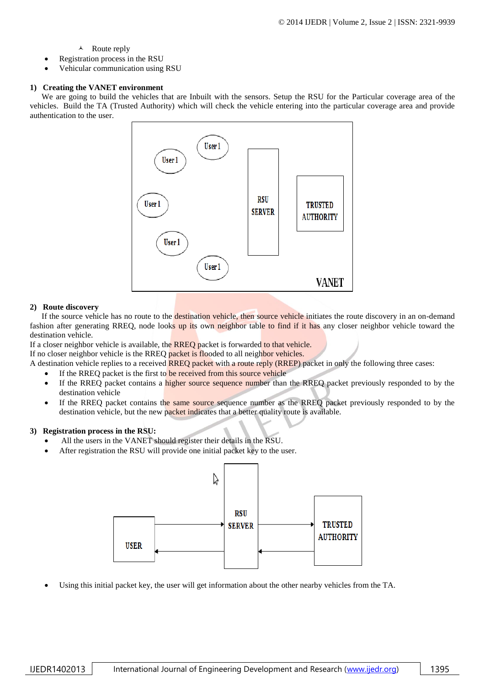# $\lambda$  Route reply

- Registration process in the RSU
- Vehicular communication using RSU

# **1) Creating the VANET environment**

We are going to build the vehicles that are Inbuilt with the sensors. Setup the RSU for the Particular coverage area of the vehicles. Build the TA (Trusted Authority) which will check the vehicle entering into the particular coverage area and provide authentication to the user.



# **2) Route discovery**

If the source vehicle has no route to the destination vehicle, then source vehicle initiates the route discovery in an on-demand fashion after generating RREQ, node looks up its own neighbor table to find if it has any closer neighbor vehicle toward the destination vehicle.

If a closer neighbor vehicle is available, the RREQ packet is forwarded to that vehicle.

If no closer neighbor vehicle is the RREQ packet is flooded to all neighbor vehicles.

A destination vehicle replies to a received RREQ packet with a route reply (RREP) packet in only the following three cases:

- If the RREQ packet is the first to be received from this source vehicle
- If the RREQ packet contains a higher source sequence number than the RREQ packet previously responded to by the destination vehicle
- If the RREQ packet contains the same source sequence number as the RREQ packet previously responded to by the destination vehicle, but the new packet indicates that a better quality route is available.

# **3) Registration process in the RSU:**

- All the users in the VANET should register their details in the RSU.
- After registration the RSU will provide one initial packet key to the user.



Using this initial packet key, the user will get information about the other nearby vehicles from the TA.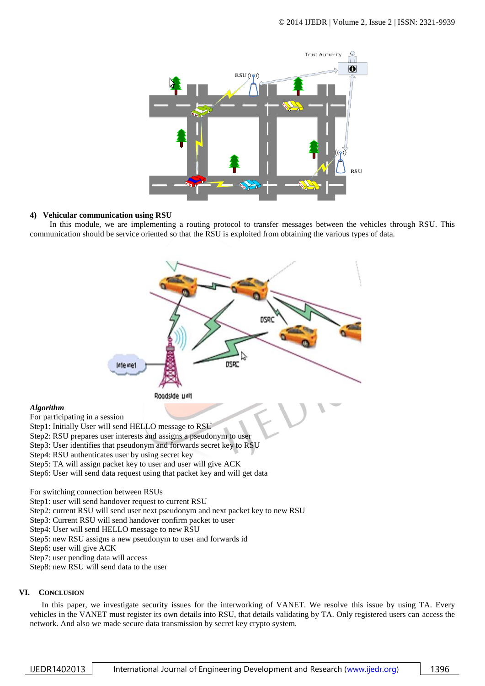

#### **4) Vehicular communication using RSU**

In this module, we are implementing a routing protocol to transfer messages between the vehicles through RSU. This communication should be service oriented so that the RSU is exploited from obtaining the various types of data.



For switching connection between RSUs Step1: user will send handover request to current RSU

Step2: current RSU will send user next pseudonym and next packet key to new RSU

Step3: Current RSU will send handover confirm packet to user

Step4: User will send HELLO message to new RSU

Step5: new RSU assigns a new pseudonym to user and forwards id

Step6: user will give ACK

Step7: user pending data will access

Step8: new RSU will send data to the user

# **VI. CONCLUSION**

*Algorithm*

In this paper, we investigate security issues for the interworking of VANET. We resolve this issue by using TA. Every vehicles in the VANET must register its own details into RSU, that details validating by TA. Only registered users can access the network. And also we made secure data transmission by secret key crypto system.

IJEDR1402013 | International Journal of Engineering Development and Research (www.ijedr.org) | 1396